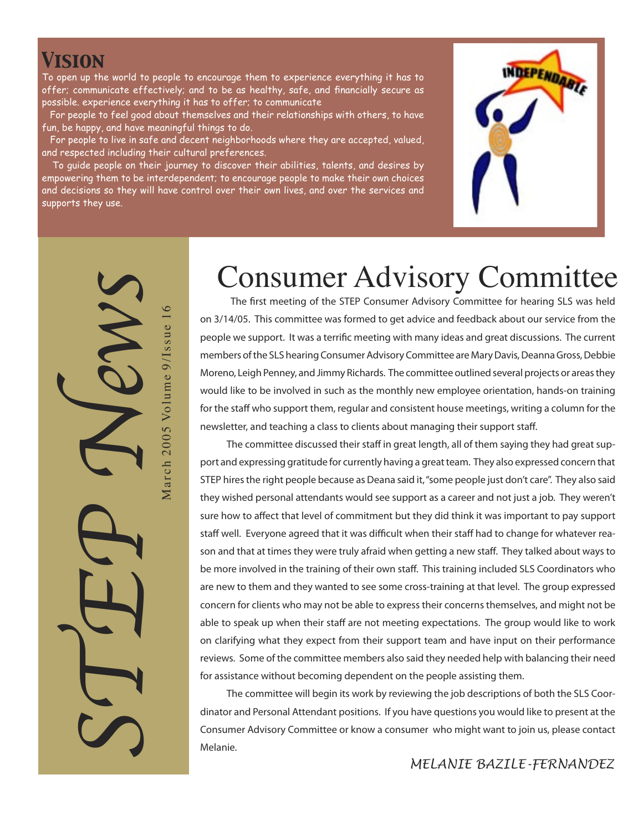#### *Vision*

STEP News

March 2005 Volume 9/Issue 1

 $\circ$ 

To open up the world to people to encourage them to experience everything it has to offer; communicate effectively; and to be as healthy, safe, and financially secure as possible. experience everything it has to offer; to communicate

For people to feel good about themselves and their relationships with others, to have fun, be happy, and have meaningful things to do.

 For people to live in safe and decent neighborhoods where they are accepted, valued, and respected including their cultural preferences.

 To guide people on their journey to discover their abilities, talents, and desires by empowering them to be interdependent; to encourage people to make their own choices and decisions so they will have control over their own lives, and over the services and supports they use.



# Consumer Advisory Committee

**The first meeting of the STEP Consumer Advisory Committee for hearing SLS was held on 3/14/05. This committee was formed to get advice and feedback about our service from the people we support. It was a terrific meeting with many ideas and great discussions. The current members of the SLS hearing Consumer Advisory Committee are Mary Davis, Deanna Gross, Debbie Moreno, Leigh Penney, and Jimmy Richards. The committee outlined several projects or areas they would like to be involved in such as the monthly new employee orientation, hands-on training for the staff who support them, regular and consistent house meetings, writing a column for the newsletter, and teaching a class to clients about managing their support staff.**

 **The committee discussed their staff in great length, all of them saying they had great support and expressing gratitude for currently having a great team. They also expressed concern that STEP hires the right people because as Deana said it, "some people just don't care". They also said they wished personal attendants would see support as a career and not just a job. They weren't sure how to affect that level of commitment but they did think it was important to pay support staff well. Everyone agreed that it was difficult when their staff had to change for whatever reason and that at times they were truly afraid when getting a new staff. They talked about ways to be more involved in the training of their own staff. This training included SLS Coordinators who are new to them and they wanted to see some cross-training at that level. The group expressed concern for clients who may not be able to express their concerns themselves, and might not be able to speak up when their staff are not meeting expectations. The group would like to work on clarifying what they expect from their support team and have input on their performance reviews. Some of the committee members also said they needed help with balancing their need for assistance without becoming dependent on the people assisting them.**

 **The committee will begin its work by reviewing the job descriptions of both the SLS Coordinator and Personal Attendant positions. If you have questions you would like to present at the Consumer Advisory Committee or know a consumer who might want to join us, please contact Melanie.**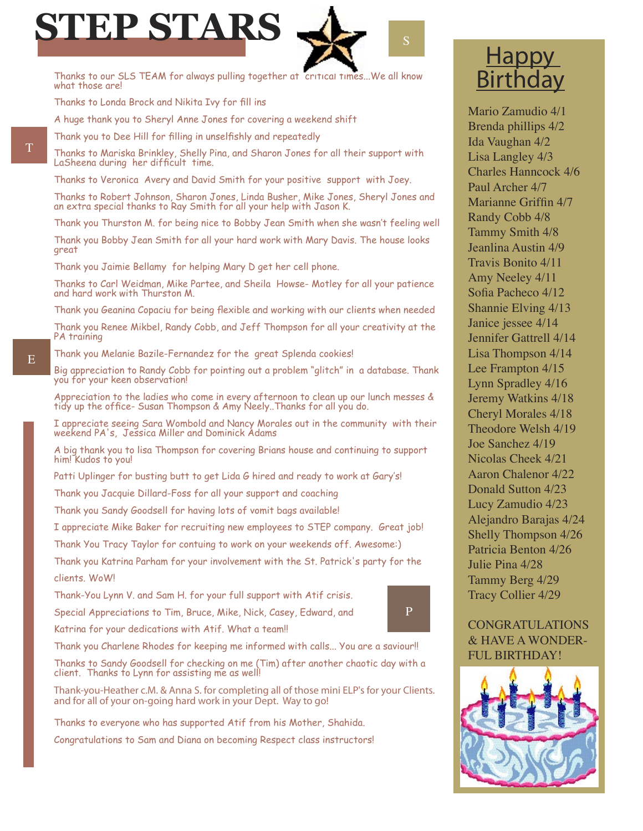

Thanks to our SLS TEAM for always pulling together at critical times...We all know what those are!

Thanks to Londa Brock and Nikita Ivy for fill ins

A huge thank you to Sheryl Anne Jones for covering a weekend shift

Thank you to Dee Hill for filling in unselfishly and repeatedly

Thanks to Mariska Brinkley, Shelly Pina, and Sharon Jones for all their support with LaSheena during her difficult time.

Thanks to Veronica Avery and David Smith for your positive support with Joey.

Thanks to Robert Johnson, Sharon Jones, Linda Busher, Mike Jones, Sheryl Jones and an extra special thanks to Ray Smith for all your help with Jason K.

Thank you Thurston M. for being nice to Bobby Jean Smith when she wasn't feeling well

Thank you Bobby Jean Smith for all your hard work with Mary Davis. The house looks great

Thank you Jaimie Bellamy for helping Mary D get her cell phone.

Thanks to Carl Weidman, Mike Partee, and Sheila Howse- Motley for all your patience and hard work with Thurston M.

Thank you Geanina Copaciu for being flexible and working with our clients when needed

Thank you Renee Mikbel, Randy Cobb, and Jeff Thompson for all your creativity at the PA training

Thank you Melanie Bazile-Fernandez for the great Splenda cookies!

Big appreciation to Randy Cobb for pointing out a problem "glitch" in a database. Thank you for your keen observation!

Appreciation to the ladies who come in every afternoon to clean up our lunch messes & tidy up the office- Susan Thompson & Amy Neely..Thanks for all you do.

I appreciate seeing Sara Wombold and Nancy Morales out in the community with their weekend PA's, Jessica Miller and Dominick Adams

A big thank you to lisa Thompson for covering Brians house and continuing to support him! Kudos to you!

Patti Uplinger for busting butt to get Lida G hired and ready to work at Gary's!

Thank you Jacquie Dillard-Foss for all your support and coaching

Thank you Sandy Goodsell for having lots of vomit bags available!

I appreciate Mike Baker for recruiting new employees to STEP company. Great job!

Thank You Tracy Taylor for contuing to work on your weekends off. Awesome:)

Thank you Katrina Parham for your involvement with the St. Patrick's party for the clients. WoW!

Thank-You Lynn V. and Sam H. for your full support with Atif crisis.

Special Appreciations to Tim, Bruce, Mike, Nick, Casey, Edward, and

Katrina for your dedications with Atif. What a team!!

Thank you Charlene Rhodes for keeping me informed with calls... You are a saviour!!

Thanks to Sandy Goodsell for checking on me (Tim) after another chaotic day with a client. Thanks to Lynn for assisting me as well!

*Thank-you-Heather c.M. & Anna S. for completing all of those mini ELP's for your Clients. and for all of your on-going hard work in your Dept. Way to go!*

Thanks to everyone who has supported Atif from his Mother, Shahida.

Congratulations to Sam and Diana on becoming Respect class instructors!

#### **Happy** Birthday

Mario Zamudio 4/1 Brenda phillips 4/2 Ida Vaughan 4/2 Lisa Langley 4/3 Charles Hanncock 4/6 Paul Archer 4/7 Marianne Griffin 4/7 Randy Cobb 4/8 Tammy Smith 4/8 Jeanlina Austin 4/9 Travis Bonito 4/11 Amy Neeley 4/11 Sofia Pacheco 4/12 Shannie Elving 4/13 Janice jessee 4/14 Jennifer Gattrell 4/14 Lisa Thompson 4/14 Lee Frampton 4/15 Lynn Spradley 4/16 Jeremy Watkins 4/18 Cheryl Morales 4/18 Theodore Welsh 4/19 Joe Sanchez 4/19 Nicolas Cheek 4/21 Aaron Chalenor 4/22 Donald Sutton 4/23 Lucy Zamudio 4/23 Alejandro Barajas 4/24 Shelly Thompson 4/26 Patricia Benton 4/26 Julie Pina 4/28 Tammy Berg 4/29 Tracy Collier 4/29

#### CONGRATULATIONS & HAVE A WONDER-FUL BIRTHDAY!

P



T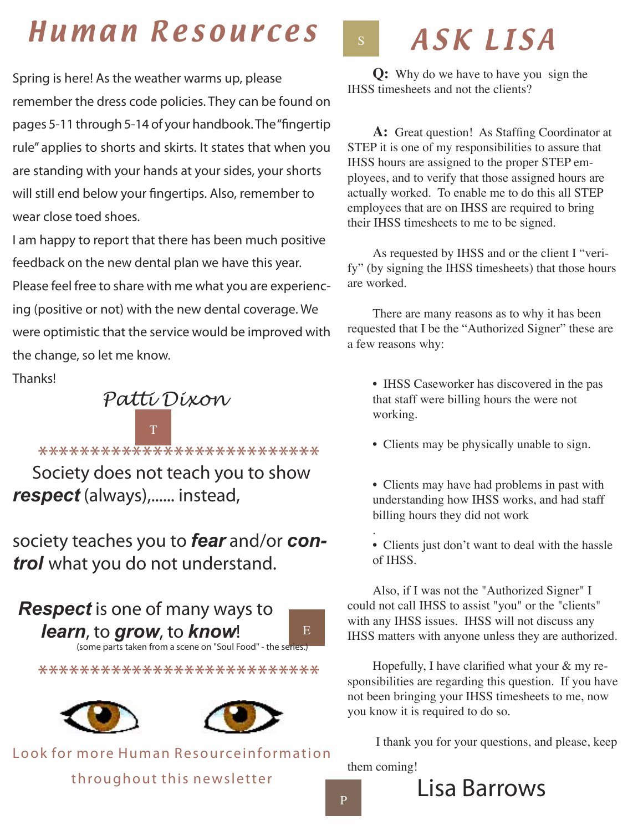## Human Resources

 *Spring is here! As the weather warms up, please remember the dress code policies. They can be found on pages 5-11 through 5-14 of your handbook. The "fingertip rule" applies to shorts and skirts. It states that when you are standing with your hands at your sides, your shorts will still end below your fingertips. Also, remember to wear close toed shoes.*

*I am happy to report that there has been much positive feedback on the new dental plan we have this year. Please feel free to share with me what you are experiencing (positive or not) with the new dental coverage. We were optimistic that the service would be improved with the change, so let me know.* 

*Thanks!*



\*\*\*\*\*\*\*\*\*\*<del>\*\*\*\*\*</del>\*\*\*\*\*\*\*\*\*\*\*\*\*\*\*\*<br>Society does not teach you to show *respect* (always),...... instead,

society teaches you to *fear* and/or *control* what you do not understand.

 *Respect* is one of many ways to *learn*, to *grow*, to *know*!

(some parts taken from a scene on "Soul Food" - the series.)

\*\*\*\*\*\*\*\*\*\*\*\*\*\*\*\*\*\*\*\*\*\*\*\*\*\*\*





Look for more Human Resourceinformation throughout this newsletter

#### ASK LISA S

**Q:** Why do we have to have you sign the IHSS timesheets and not the clients?

**A:** Great question! As Staffing Coordinator at STEP it is one of my responsibilities to assure that IHSS hours are assigned to the proper STEP employees, and to verify that those assigned hours are actually worked. To enable me to do this all STEP employees that are on IHSS are required to bring their IHSS timesheets to me to be signed.

As requested by IHSS and or the client I "verify" (by signing the IHSS timesheets) that those hours are worked.

There are many reasons as to why it has been requested that I be the "Authorized Signer" these are a few reasons why:

• IHSS Caseworker has discovered in the pas that staff were billing hours the were not working.

• Clients may be physically unable to sign.

• Clients may have had problems in past with understanding how IHSS works, and had staff billing hours they did not work

. • Clients just don't want to deal with the hassle of IHSS.

Also, if I was not the "Authorized Signer" I could not call IHSS to assist "you" or the "clients" with any IHSS issues. IHSS will not discuss any IHSS matters with anyone unless they are authorized.

Hopefully, I have clarified what your & my responsibilities are regarding this question. If you have not been bringing your IHSS timesheets to me, now you know it is required to do so.

I thank you for your questions, and please, keep

them coming!

P

E

 *Lisa Barrows*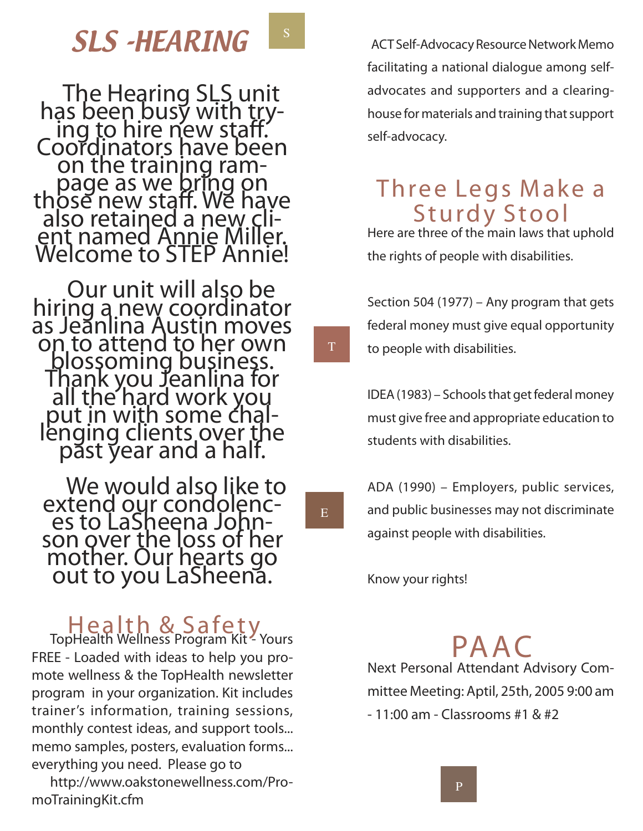## **SLS -HEARING B** ACT Self-Advocacy Resource Network Memo

The Hearing SLS unit<br>has been busy with try-<br>ing to hire new staff.<br>Coordinators have been<br>on the training ram-<br>page as we bring on<br>those new staff. We have<br>also retained a new cli-<br>ent named Annie Miller.<br>Welcome to STEP

Our unit will also be<br>hiring a new coordinator<br>as Jeanlina Austin moves<br>on to attend to her own<br>blossoming business.<br>Thank you Jeanlina for<br>all the hard work you<br>put in with some chal-<br>lenging clients over the<br>past year an

H e a l t h & S a fe t y **TopHealth Wellness Program Kit - Yours FREE - Loaded with ideas to help you promote wellness & the TopHealth newsletter program in your organization. Kit includes trainer's information, training sessions, monthly contest ideas, and support tools... memo samples, posters, evaluation forms... everything you need. Please go to** 

**http://www.oakstonewellness.com/PromoTrainingKit.cfm**

*facilitating a national dialogue among selfadvocates and supporters and a clearinghouse for materials and training that support self-advocacy.*

### Three Legs Make a **Sturdy Stool**

*Here are three of the main laws that uphold the rights of people with disabilities.*

*Section 504 (1977) – Any program that gets federal money must give equal opportunity to people with disabilities.*

*IDEA (1983) – Schools that get federal money must give free and appropriate education to students with disabilities.*

*ADA (1990) – Employers, public services, and public businesses may not discriminate against people with disabilities.*

*Know your rights!*

E

T

S

 $P A A$ 

*Next Personal Attendant Advisory Committee Meeting: Aptil, 25th, 2005 9:00 am - 11:00 am - Classrooms #1 & #2*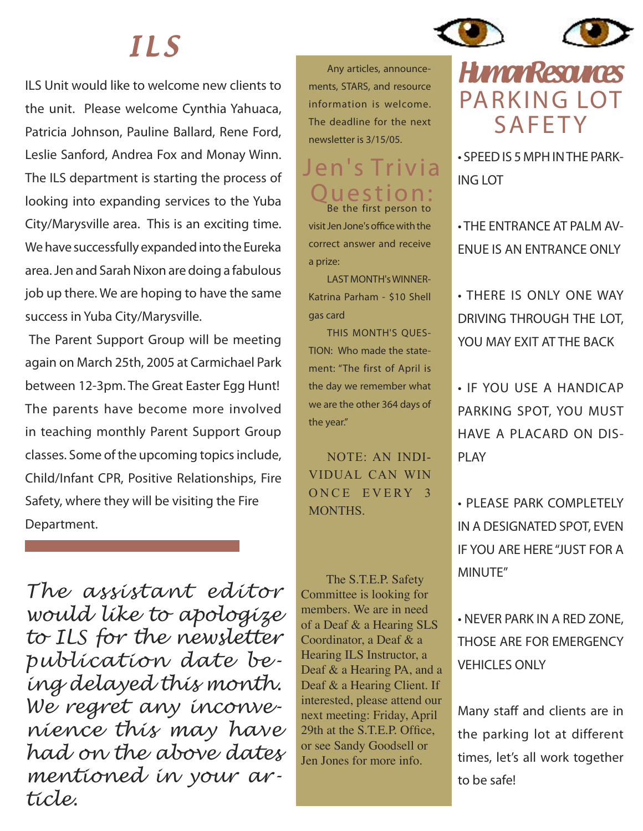# I L S

*ILS Unit would like to welcome new clients to the unit. Please welcome Cynthia Yahuaca, Patricia Johnson, Pauline Ballard, Rene Ford, Leslie Sanford, Andrea Fox and Monay Winn. The ILS department is starting the process of looking into expanding services to the Yuba City/Marysville area. This is an exciting time. We have successfully expanded into the Eureka area. Jen and Sarah Nixon are doing a fabulous job up there. We are hoping to have the same success in Yuba City/Marysville.*

 *The Parent Support Group will be meeting again on March 25th, 2005 at Carmichael Park between 12-3pm. The Great Easter Egg Hunt! The parents have become more involved in teaching monthly Parent Support Group classes. Some of the upcoming topics include, Child/Infant CPR, Positive Relationships, Fire Safety, where they will be visiting the Fire Department.* 

*The assistant editor would like to apologize to ILS for the newsletter publication date being delayed this month. We regret any inconvenience this may have had on the above dates mentioned in your article.*

**Any articles, announcements, STARS, and resource information is welcome. The deadline for the next newsletter is 3/15/05.**

#### Jen's Trivia Q u e s t i o n : **Be the first person to**

**visit Jen Jone's office with the correct answer and receive a prize:** 

LAST MONTH's WINNER-Katrina Parham - \$10 Shell gas card

THIS MONTH'S QUES-TION: Who made the statement: "The first of April is the day we remember what we are the other 364 days of the year."

NOTE: AN INDI-VIDUAL CAN WIN ONCE EVERY 3 MONTHS.

The S.T.E.P. Safety Committee is looking for members. We are in need of a Deaf & a Hearing SLS Coordinator, a Deaf & a Hearing ILS Instructor, a Deaf & a Hearing PA, and a Deaf & a Hearing Client. If interested, please attend our next meeting: Friday, April 29th at the S.T.E.P. Office, or see Sandy Goodsell or Jen Jones for more info.

## **HumanResources** PARKING LOT **SAFETY**

*• SPEED IS 5 MPH IN THE PARK-ING LOT*

*• THE ENTRANCE AT PALM AV-ENUE IS AN ENTRANCE ONLY*

*• THERE IS ONLY ONE WAY DRIVING THROUGH THE LOT, YOU MAY EXIT AT THE BACK*

*• IF YOU USE A HANDICAP PARKING SPOT, YOU MUST HAVE A PLACARD ON DIS-PLAY*

*• PLEASE PARK COMPLETELY IN A DESIGNATED SPOT, EVEN IF YOU ARE HERE "JUST FOR A MINUTE"*

*• NEVER PARK IN A RED ZONE, THOSE ARE FOR EMERGENCY VEHICLES ONLY*

*Many staff and clients are in the parking lot at different times, let's all work together to be safe!*

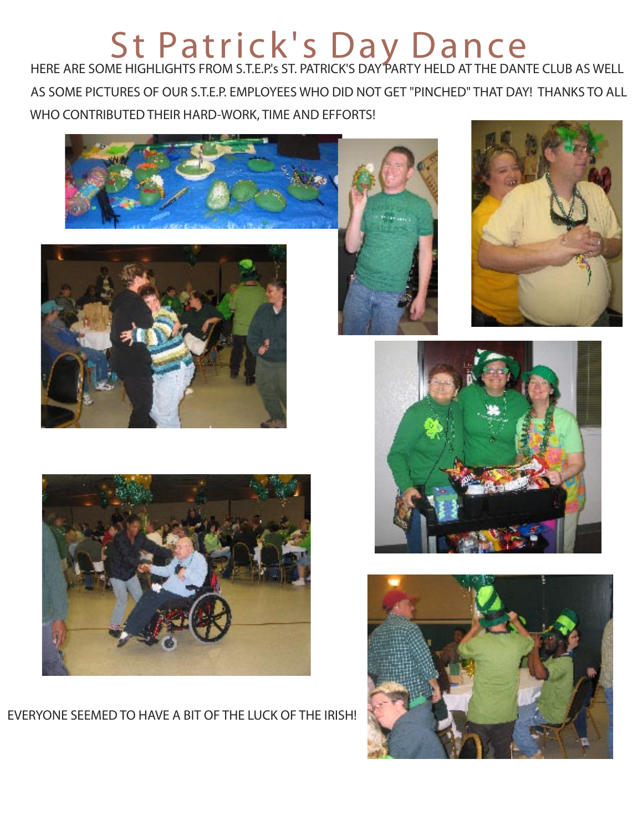#### St Patrick's Day Dance  *HERE ARE SOME HIGHLIGHTS FROM S.T.E.P.'s ST. PATRICK'S DAY PARTY HELD AT THE DANTE CLUB AS WELL*

 *AS SOME PICTURES OF OUR S.T.E.P. EMPLOYEES WHO DID NOT GET "PINCHED" THAT DAY! THANKS TO ALL WHO CONTRIBUTED THEIR HARD-WORK, TIME AND EFFORTS!*











*EVERYONE SEEMED TO HAVE A BIT OF THE LUCK OF THE IRISH!*



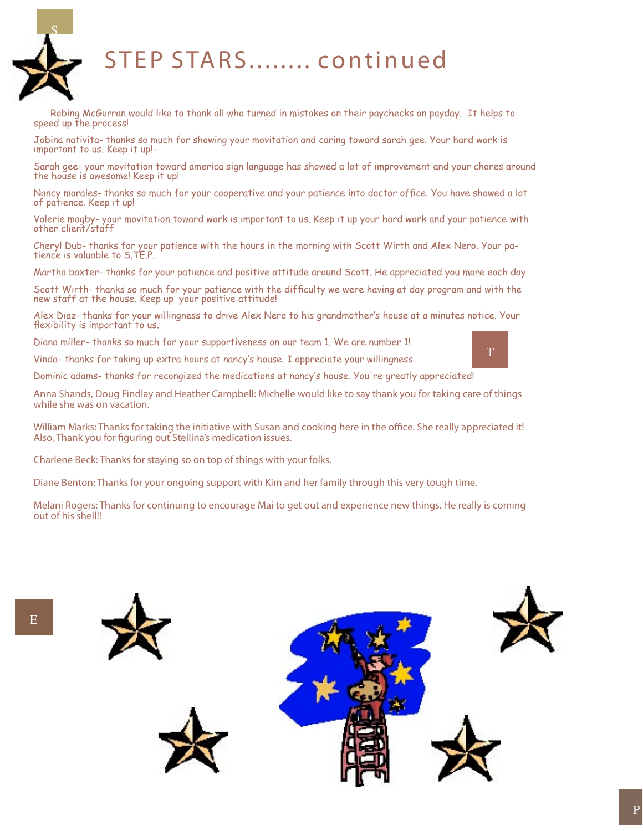

### STEP STARS ........ continued

 Robing McGurran would like to thank all who turned in mistakes on their paychecks on payday. It helps to speed up the process!

Jobina nativita- thanks so much for showing your movitation and caring toward sarah gee. Your hard work is important to us. Keep it up!-

Sarah gee- your movitation toward america sign language has showed a lot of improvement and your chores around the house is awesome! Keep it up!

Nancy morales- thanks so much for your cooperative and your patience into doctor office. You have showed a lot of patience. Keep it up!

Valerie magby- your movitation toward work is important to us. Keep it up your hard work and your patience with other client/staff

Cheryl Dub- thanks for your patience with the hours in the morning with Scott Wirth and Alex Nero. Your patience is valuable to S.TE.P..

Martha baxter- thanks for your patience and positive attitude around Scott. He appreciated you more each day

Scott Wirth- thanks so much for your patience with the difficulty we were having at day program and with the new staff at the house. Keep up your positive attitude!

Alex Diaz- thanks for your willingness to drive Alex Nero to his grandmother's house at a minutes notice. Your flexibility is important to us.

Diana miller- thanks so much for your supportiveness on our team 1. We are number 1!

Vinda- thanks for taking up extra hours at nancy's house. I appreciate your willingness

Dominic adams- thanks for recongized the medications at nancy's house. You're greatly appreciated!

*Anna Shands, Doug Findlay and Heather Campbell: Michelle would like to say thank you for taking care of things while she was on vacation.*

*William Marks: Thanks for taking the initiative with Susan and cooking here in the office. She really appreciated it! Also, Thank you for figuring out Stellina's medication issues.*

*Charlene Beck: Thanks for staying so on top of things with your folks.*

*Diane Benton: Thanks for your ongoing support with Kim and her family through this very tough time.*

*Melani Rogers: Thanks for continuing to encourage Mai to get out and experience new things. He really is coming out of his shell!!*





T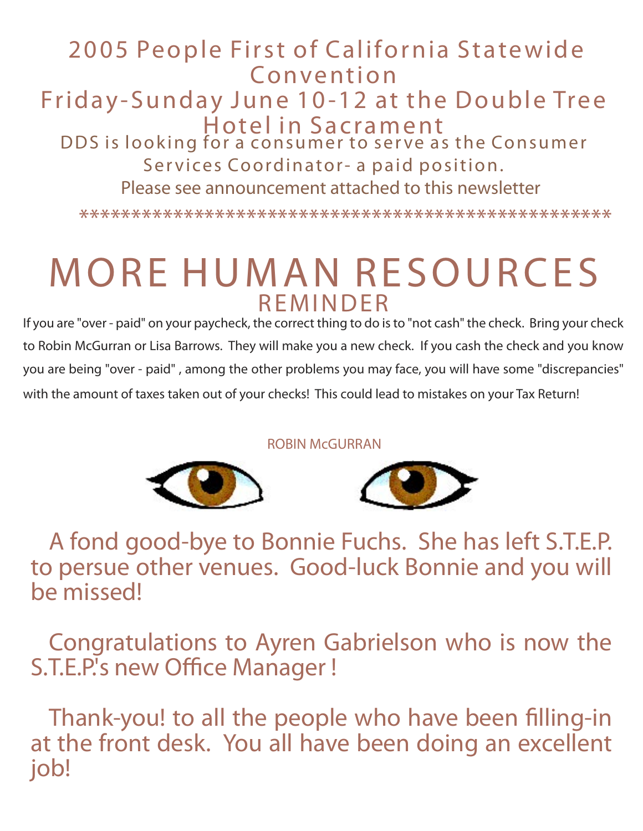#### 2005 People First of California Statewide **Convention** Friday-Sunday June 10-12 at the Double Tree Hotel in Sacrament DDS is looking for a consumer to serve as the Consumer Services Coordinator- a paid position. Please see announcement attached to this newsletter

\*\*\*\*\*\*\*\*\*\*\*\*\*\*\*\*\*\*\*\*\*\*\*\*\*\*\*\*\*\*\*\*\*\*\*\*\*\*\*\*\*\*\*\*\*\*\*\*\*\*\*

# MORE HUMAN RESOURCES **R F M I N D F R**

*If you are "over - paid" on your paycheck, the correct thing to do is to "not cash" the check. Bring your check to Robin McGurran or Lisa Barrows. They will make you a new check. If you cash the check and you know you are being "over - paid" , among the other problems you may face, you will have some "discrepancies" with the amount of taxes taken out of your checks! This could lead to mistakes on your Tax Return!* 

ROBIN McGURRAN





A fond good-bye to Bonnie Fuchs. She has left S.T.E.P. to persue other venues. Good-luck Bonnie and you will be missed!

Congratulations to Ayren Gabrielson who is now the S.T.E.P.'s new Office Manager !

Thank-you! to all the people who have been filling-in at the front desk. You all have been doing an excellent job!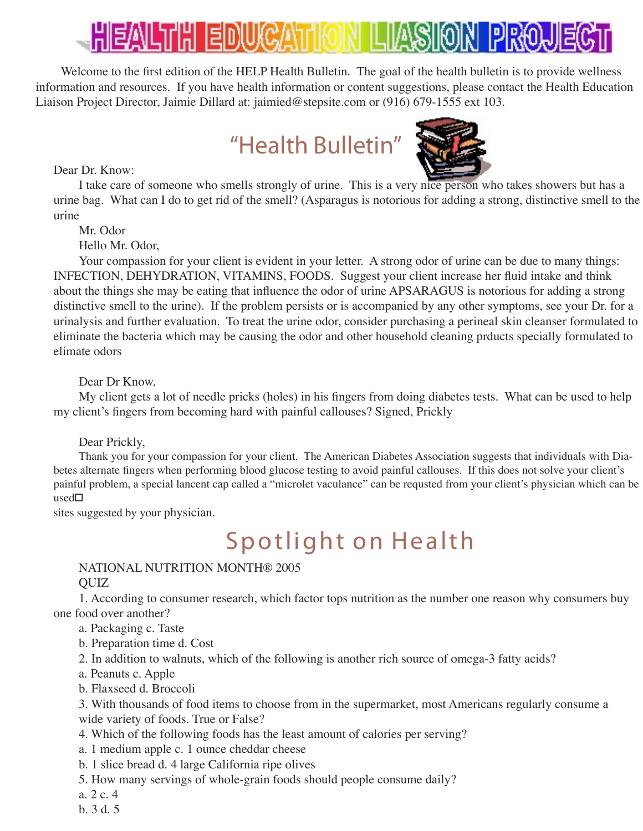# LIHI EID

Welcome to the first edition of the HELP Health Bulletin. The goal of the health bulletin is to provide wellness information and resources. If you have health information or content suggestions, please contact the Health Education Liaison Project Director, Jaimie Dillard at: jaimied@stepsite.com or (916) 679-1555 ext 103.

## "Health Bulletin"

Dear Dr. Know:



I take care of someone who smells strongly of urine. This is a very nice person who takes showers but has a urine bag. What can I do to get rid of the smell? (Asparagus is notorious for adding a strong, distinctive smell to the urine

Mr. Odor

Hello Mr. Odor,

Your compassion for your client is evident in your letter. A strong odor of urine can be due to many things: INFECTION, DEHYDRATION, VITAMINS, FOODS. Suggest your client increase her fluid intake and think about the things she may be eating that influence the odor of urine APSARAGUS is notorious for adding a strong distinctive smell to the urine). If the problem persists or is accompanied by any other symptoms, see your Dr. for a urinalysis and further evaluation. To treat the urine odor, consider purchasing a perineal skin cleanser formulated to eliminate the bacteria which may be causing the odor and other household cleaning prducts specially formulated to elimate odors

Dear Dr Know,

My client gets a lot of needle pricks (holes) in his fingers from doing diabetes tests. What can be used to help my client's fingers from becoming hard with painful callouses? Signed, Prickly

Dear Prickly,

Thank you for your compassion for your client. The American Diabetes Association suggests that individuals with Diabetes alternate fingers when performing blood glucose testing to avoid painful callouses. If this does not solve your client's painful problem, a special lancent cap called a "microlet vaculance" can be requsted from your client's physician which can be used

sites suggested by your physician.

## Spotlight on Health

#### NATIONAL NUTRITION MONTH® 2005 QUIZ

1. According to consumer research, which factor tops nutrition as the number one reason why consumers buy one food over another?

- a. Packaging c. Taste
- b. Preparation time d. Cost
- 2. In addition to walnuts, which of the following is another rich source of omega-3 fatty acids?
- a. Peanuts c. Apple
- b. Flaxseed d. Broccoli

3. With thousands of food items to choose from in the supermarket, most Americans regularly consume a wide variety of foods. True or False?

- 4. Which of the following foods has the least amount of calories per serving?
- a. 1 medium apple c. 1 ounce cheddar cheese
- b. 1 slice bread d. 4 large California ripe olives
- 5. How many servings of whole-grain foods should people consume daily?
- a. 2 c. 4
- b. 3 d. 5